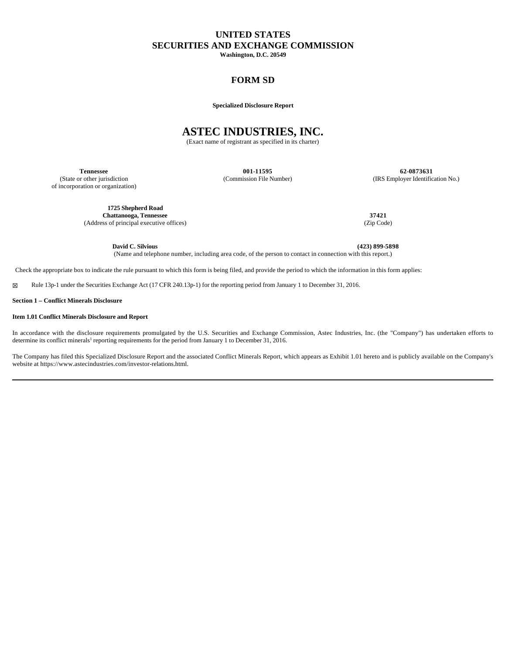# **UNITED STATES SECURITIES AND EXCHANGE COMMISSION**

**Washington, D.C. 20549**

### **FORM SD**

**Specialized Disclosure Report**

## **ASTEC INDUSTRIES, INC.**

(Exact name of registrant as specified in its charter)

(State or other jurisdiction of incorporation or organization)

**Tennessee 001-11595 62-0873631** (Commission File Number) (IRS Employer Identification No.)

**1725 Shepherd Road Chattanooga, Tennessee 37421**<br>ss of principal executive offices) (Zip Code) (2ip Code) (Address of principal executive offices)

**David C. Silvious (423) 899-5898** (Name and telephone number, including area code, of the person to contact in connection with this report.)

Check the appropriate box to indicate the rule pursuant to which this form is being filed, and provide the period to which the information in this form applies:

☒ Rule 13p-1 under the Securities Exchange Act (17 CFR 240.13p-1) for the reporting period from January 1 to December 31, 2016.

**Section 1 – Conflict Minerals Disclosure**

#### **Item 1.01 Conflict Minerals Disclosure and Report**

In accordance with the disclosure requirements promulgated by the U.S. Securities and Exchange Commission, Astec Industries, Inc. (the "Company") has undertaken efforts to determine its conflict minerals<sup>1</sup> reporting requirements for the period from January 1 to December 31, 2016.

The Company has filed this Specialized Disclosure Report and the associated Conflict Minerals Report, which appears as Exhibit 1.01 hereto and is publicly available on the Company's website at https://www.astecindustries.com/investor-relations.html.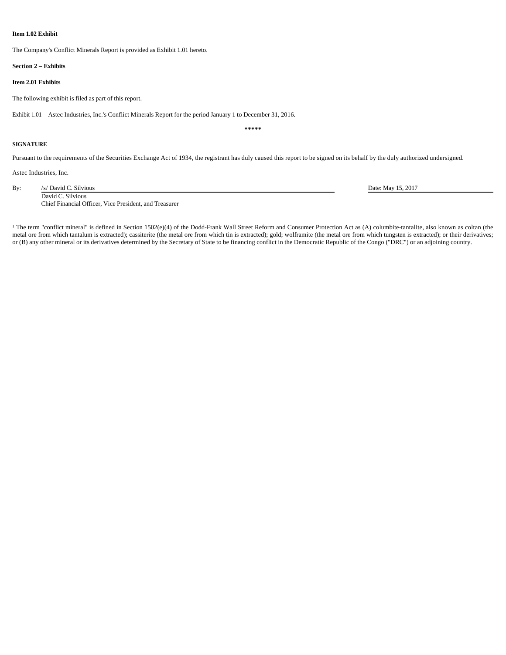#### **Item 1.02 Exhibit**

The Company's Conflict Minerals Report is provided as Exhibit 1.01 hereto.

#### **Section 2 – Exhibits**

#### **Item 2.01 Exhibits**

The following exhibit is filed as part of this report.

Exhibit 1.01 – Astec Industries, Inc.'s Conflict Minerals Report for the period January 1 to December 31, 2016.

**\*\*\*\*\***

#### **SIGNATURE**

Pursuant to the requirements of the Securities Exchange Act of 1934, the registrant has duly caused this report to be signed on its behalf by the duly authorized undersigned.

Astec Industries, Inc.

By: /s/ David C. Silvious Date: May 15, 2017 David C. Silvious

Chief Financial Officer, Vice President, and Treasurer

<sup>1</sup> The term "conflict mineral" is defined in Section 1502(e)(4) of the Dodd-Frank Wall Street Reform and Consumer Protection Act as (A) columbite-tantalite, also known as coltan (the metal ore from which tantalum is extracted); cassiterite (the metal ore from which tin is extracted); gold; wolframite (the metal ore from which tungsten is extracted); or their derivatives; or (B) any other mineral or its derivatives determined by the Secretary of State to be financing conflict in the Democratic Republic of the Congo ("DRC") or an adjoining country.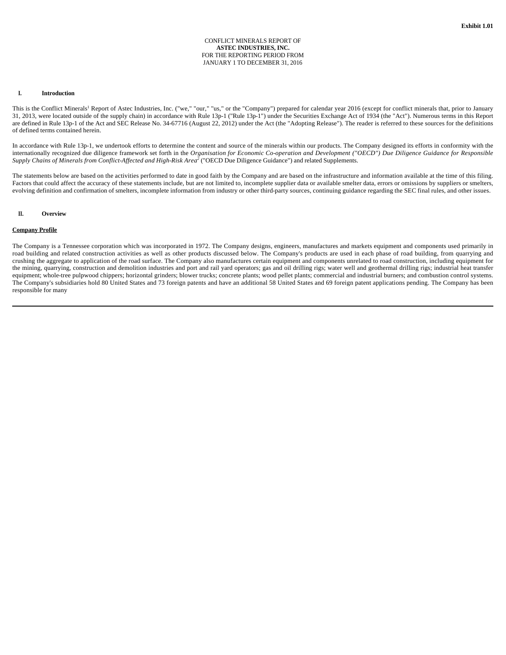#### CONFLICT MINERALS REPORT OF **ASTEC INDUSTRIES, INC.** FOR THE REPORTING PERIOD FROM JANUARY 1 TO DECEMBER 31, 2016

#### **I. Introduction**

This is the Conflict Minerals<sup>1</sup> Report of Astec Industries, Inc. ("we," "our," "us," or the "Company") prepared for calendar year 2016 (except for conflict minerals that, prior to January 31, 2013, were located outside of the supply chain) in accordance with Rule 13p-1 ("Rule 13p-1") under the Securities Exchange Act of 1934 (the "Act"). Numerous terms in this Report are defined in Rule 13p-1 of the Act and SEC Release No. 34-67716 (August 22, 2012) under the Act (the "Adopting Release"). The reader is referred to these sources for the definitions of defined terms contained herein.

In accordance with Rule 13p-1, we undertook efforts to determine the content and source of the minerals within our products. The Company designed its efforts in conformity with the internationally recognized due diligence framework set forth in the *Organisation for Economic Co-operation and Development ("OECD") Due Diligence Guidance for Responsible Supply Chains of Minerals from Conflict-Affected and High-Risk Area<sup>2</sup>* ("OECD Due Diligence Guidance") and related Supplements.

The statements below are based on the activities performed to date in good faith by the Company and are based on the infrastructure and information available at the time of this filing. Factors that could affect the accuracy of these statements include, but are not limited to, incomplete supplier data or available smelter data, errors or omissions by suppliers or smelters, evolving definition and confirmation of smelters, incomplete information from industry or other third-party sources, continuing guidance regarding the SEC final rules, and other issues.

#### **II. Overview**

#### **Company Profile**

The Company is a Tennessee corporation which was incorporated in 1972. The Company designs, engineers, manufactures and markets equipment and components used primarily in road building and related construction activities as well as other products discussed below. The Company's products are used in each phase of road building, from quarrying and crushing the aggregate to application of the road surface. The Company also manufactures certain equipment and components unrelated to road construction, including equipment for the mining, quarrying, construction and demolition industries and port and rail yard operators; gas and oil drilling rigs; water well and geothermal drilling rigs; industrial heat transfer equipment; whole-tree pulpwood chippers; horizontal grinders; blower trucks; concrete plants; wood pellet plants; commercial and industrial burners; and combustion control systems. The Company's subsidiaries hold 80 United States and 73 foreign patents and have an additional 58 United States and 69 foreign patent applications pending. The Company has been responsible for many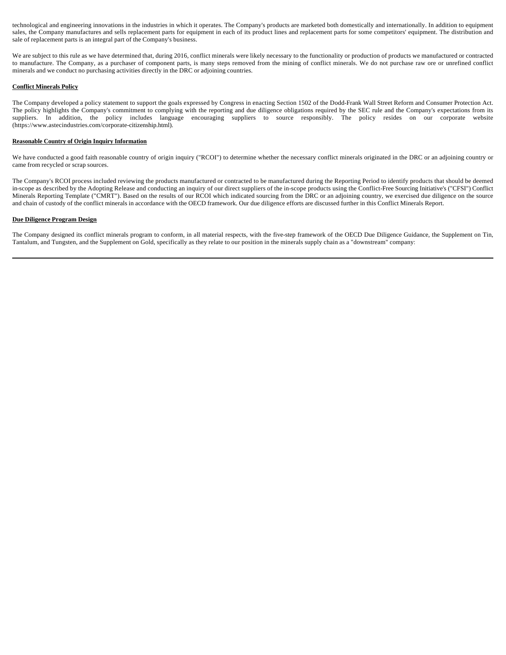technological and engineering innovations in the industries in which it operates. The Company's products are marketed both domestically and internationally. In addition to equipment sales, the Company manufactures and sells replacement parts for equipment in each of its product lines and replacement parts for some competitors' equipment. The distribution and sale of replacement parts is an integral part of the Company's business.

We are subject to this rule as we have determined that, during 2016, conflict minerals were likely necessary to the functionality or production of products we manufactured or contracted to manufacture. The Company, as a purchaser of component parts, is many steps removed from the mining of conflict minerals. We do not purchase raw ore or unrefined conflict minerals and we conduct no purchasing activities directly in the DRC or adjoining countries.

#### **Conflict Minerals Policy**

The Company developed a policy statement to support the goals expressed by Congress in enacting Section 1502 of the Dodd-Frank Wall Street Reform and Consumer Protection Act. The policy highlights the Company's commitment to complying with the reporting and due diligence obligations required by the SEC rule and the Company's expectations from its suppliers. In addition, the policy includes language encouraging suppliers to source responsibly. The policy resides on our corporate website (https://www.astecindustries.com/corporate-citizenship.html).

#### **Reasonable Country of Origin Inquiry Information**

We have conducted a good faith reasonable country of origin inquiry ("RCOI") to determine whether the necessary conflict minerals originated in the DRC or an adjoining country or came from recycled or scrap sources.

The Company's RCOI process included reviewing the products manufactured or contracted to be manufactured during the Reporting Period to identify products that should be deemed in-scope as described by the Adopting Release and conducting an inquiry of our direct suppliers of the in-scope products using the Conflict-Free Sourcing Initiative's ("CFSI") Conflict Minerals Reporting Template ("CMRT"). Based on the results of our RCOI which indicated sourcing from the DRC or an adjoining country, we exercised due diligence on the source and chain of custody of the conflict minerals in accordance with the OECD framework. Our due diligence efforts are discussed further in this Conflict Minerals Report.

#### **Due Diligence Program Design**

The Company designed its conflict minerals program to conform, in all material respects, with the five-step framework of the OECD Due Diligence Guidance, the Supplement on Tin, Tantalum, and Tungsten, and the Supplement on Gold, specifically as they relate to our position in the minerals supply chain as a "downstream" company: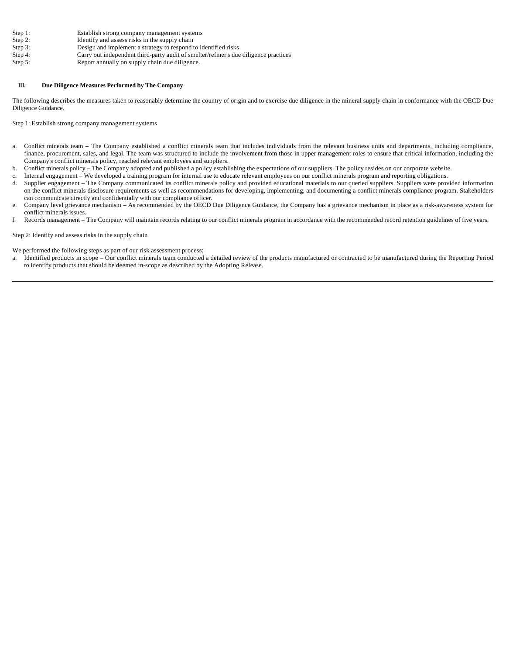- Step 1: Establish strong company management systems<br>Step 2: Identify and assess risks in the supply chain
- Identify and assess risks in the supply chain
- Step 3: Design and implement a strategy to respond to identified risks<br>Step 4: Carry out independent third-party audit of smelter/refiner's due Step 4: Carry out independent third-party audit of smelter/refiner's due diligence practices<br>Step 5: Report annually on supply chain due diligence.
- Report annually on supply chain due diligence.

#### **III. Due Diligence Measures Performed by The Company**

The following describes the measures taken to reasonably determine the country of origin and to exercise due diligence in the mineral supply chain in conformance with the OECD Due Diligence Guidance.

Step 1: Establish strong company management systems

- a. Conflict minerals team The Company established a conflict minerals team that includes individuals from the relevant business units and departments, including compliance, finance, procurement, sales, and legal. The team was structured to include the involvement from those in upper management roles to ensure that critical information, including the Company's conflict minerals policy, reached relevant employees and suppliers.
- b. Conflict minerals policy The Company adopted and published a policy establishing the expectations of our suppliers. The policy resides on our corporate website.
- c. Internal engagement We developed a training program for internal use to educate relevant employees on our conflict minerals program and reporting obligations.
- d. Supplier engagement The Company communicated its conflict minerals policy and provided educational materials to our queried suppliers. Suppliers were provided information on the conflict minerals disclosure requirements as well as recommendations for developing, implementing, and documenting a conflict minerals compliance program. Stakeholders can communicate directly and confidentially with our compliance officer.
- e. Company level grievance mechanism As recommended by the OECD Due Diligence Guidance, the Company has a grievance mechanism in place as a risk-awareness system for conflict minerals issues.
- f. Records management The Company will maintain records relating to our conflict minerals program in accordance with the recommended record retention guidelines of five years.

#### Step 2: Identify and assess risks in the supply chain

#### We performed the following steps as part of our risk assessment process:

a. Identified products in scope – Our conflict minerals team conducted a detailed review of the products manufactured or contracted to be manufactured during the Reporting Period to identify products that should be deemed in-scope as described by the Adopting Release.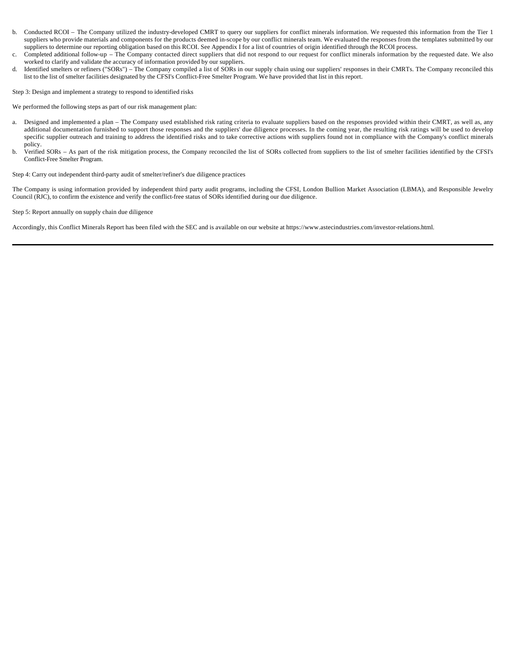- b. Conducted RCOI The Company utilized the industry-developed CMRT to query our suppliers for conflict minerals information. We requested this information from the Tier 1 suppliers who provide materials and components for the products deemed in-scope by our conflict minerals team. We evaluated the responses from the templates submitted by our suppliers to determine our reporting obligation based on this RCOI. See Appendix I for a list of countries of origin identified through the RCOI process.
- c. Completed additional follow-up The Company contacted direct suppliers that did not respond to our request for conflict minerals information by the requested date. We also worked to clarify and validate the accuracy of information provided by our suppliers.
- d. Identified smelters or refiners ("SORs") The Company compiled a list of SORs in our supply chain using our suppliers' responses in their CMRTs. The Company reconciled this list to the list of smelter facilities designated by the CFSI's Conflict-Free Smelter Program. We have provided that list in this report.

Step 3: Design and implement a strategy to respond to identified risks

We performed the following steps as part of our risk management plan:

- a. Designed and implemented a plan The Company used established risk rating criteria to evaluate suppliers based on the responses provided within their CMRT, as well as, any additional documentation furnished to support those responses and the suppliers' due diligence processes. In the coming year, the resulting risk ratings will be used to develop specific supplier outreach and training to address the identified risks and to take corrective actions with suppliers found not in compliance with the Company's conflict minerals policy.
- b. Verified SORs As part of the risk mitigation process, the Company reconciled the list of SORs collected from suppliers to the list of smelter facilities identified by the CFSI's Conflict-Free Smelter Program.

Step 4: Carry out independent third-party audit of smelter/refiner's due diligence practices

The Company is using information provided by independent third party audit programs, including the CFSI, London Bullion Market Association (LBMA), and Responsible Jewelry Council (RJC), to confirm the existence and verify the conflict-free status of SORs identified during our due diligence.

Step 5: Report annually on supply chain due diligence

Accordingly, this Conflict Minerals Report has been filed with the SEC and is available on our website at https://www.astecindustries.com/investor-relations.html.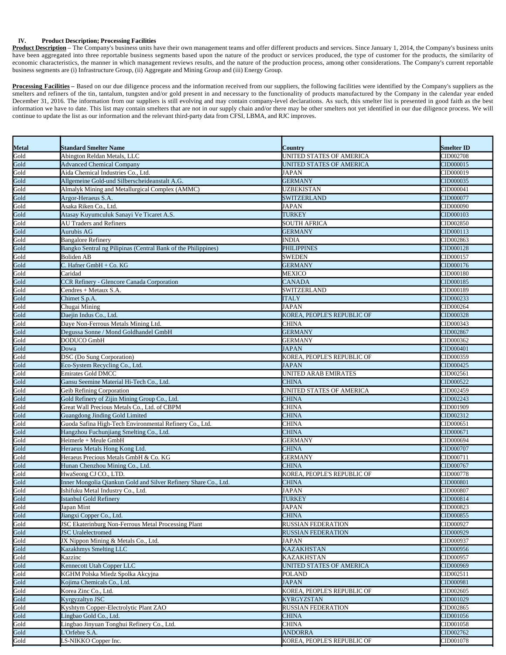### **IV. Product Description; Processing Facilities**

Product Description – The Company's business units have their own management teams and offer different products and services. Since January 1, 2014, the Company's business units have been aggregated into three reportable business segments based upon the nature of the product or services produced, the type of customer for the products, the similarity of economic characteristics, the manner in which management reviews results, and the nature of the production process, among other considerations. The Company's current reportable business segments are (i) Infrastructure Group, (ii) Aggregate and Mining Group and (iii) Energy Group.

Processing Facilities - Based on our due diligence process and the information received from our suppliers, the following facilities were identified by the Company's suppliers as the smelters and refiners of the tin, tantalum, tungsten and/or gold present in and necessary to the functionality of products manufactured by the Company in the calendar year ended December 31, 2016. The information from our suppliers is still evolving and may contain company-level declarations. As such, this smelter list is presented in good faith as the best information we have to date. This list may contain smelters that are not in our supply chain and/or there may be other smelters not yet identified in our due diligence process. We will continue to update the list as our information and the relevant third-party data from CFSI, LBMA, and RJC improves.

| Metal                        | <b>Standard Smelter Name</b>                                    | <b>Country</b>                  | <b>Smelter ID</b> |
|------------------------------|-----------------------------------------------------------------|---------------------------------|-------------------|
| Gold<br>Gold                 | Abington Reldan Metals, LLC                                     | UNITED STATES OF AMERICA        | CID002708         |
|                              | <b>Advanced Chemical Company</b>                                | <b>UNITED STATES OF AMERICA</b> | CID000015         |
| Gold                         | Aida Chemical Industries Co., Ltd.                              | <b>JAPAN</b>                    | CID000019         |
| Gold<br>Gold                 | Allgemeine Gold-und Silberscheideanstalt A.G.                   | <b>GERMANY</b>                  | CID000035         |
|                              | Almalyk Mining and Metallurgical Complex (AMMC)                 | <b>UZBEKISTAN</b>               | CID000041         |
| Gold                         | Argor-Heraeus S.A.                                              | <b>SWITZERLAND</b>              | CID000077         |
| Gold<br>Gold                 | Asaka Riken Co., Ltd.                                           | <b>JAPAN</b>                    | CID000090         |
|                              | Atasay Kuyumculuk Sanayi Ve Ticaret A.S.                        | <b>TURKEY</b>                   | CID000103         |
| Gold                         | <b>AU Traders and Refiners</b>                                  | <b>SOUTH AFRICA</b>             | CID002850         |
| Gold                         | Aurubis AG                                                      | <b>GERMANY</b>                  | CID000113         |
| Gold                         | <b>Bangalore Refinery</b>                                       | <b>INDIA</b>                    | CID002863         |
| Gold                         | Bangko Sentral ng Pilipinas (Central Bank of the Philippines)   | <b>PHILIPPINES</b>              | CID000128         |
| Gold                         | <b>Boliden AB</b>                                               | <b>SWEDEN</b>                   | CID000157         |
| Gold                         | $C.$ Hafner GmbH + Co. KG                                       | <b>GERMANY</b>                  | CID000176         |
| Gold                         | Caridad                                                         | <b>MEXICO</b>                   | CID000180         |
| Gold                         | CCR Refinery - Glencore Canada Corporation                      | <b>CANADA</b>                   | CID000185         |
| Gold<br>Gold                 | Cendres + Metaux S.A                                            | SWITZERLAND                     | CID000189         |
|                              | Chimet S.p.A.                                                   | <b>ITALY</b>                    | CID000233         |
| Gold                         | Chugai Mining                                                   | <b>JAPAN</b>                    | CID000264         |
| Gold<br>Gold                 | Daejin Indus Co., Ltd.                                          | KOREA, PEOPLE'S REPUBLIC OF     | CID000328         |
|                              | Daye Non-Ferrous Metals Mining Ltd.                             | <b>CHINA</b>                    | CID000343         |
| Gold                         | Degussa Sonne / Mond Goldhandel GmbH                            | <b>GERMANY</b>                  | CID002867         |
| Gold<br>Gold                 | DODUCO GmbH                                                     | <b>GERMANY</b>                  | CID000362         |
|                              | Dowa                                                            | <b>JAPAN</b>                    | CID000401         |
| Gold                         | DSC (Do Sung Corporation)                                       | KOREA, PEOPLE'S REPUBLIC OF     | CID000359         |
|                              | Eco-System Recycling Co., Ltd.                                  | <b>JAPAN</b>                    | CID000425         |
| Gold<br>Gold                 | <b>Emirates Gold DMCC</b>                                       | <b>UNITED ARAB EMIRATES</b>     | CID002561         |
| Gold                         | Gansu Seemine Material Hi-Tech Co., Ltd.                        | <b>CHINA</b>                    | CID000522         |
| Gold                         | <b>Geib Refining Corporation</b>                                | UNITED STATES OF AMERICA        | CID002459         |
|                              | Gold Refinery of Zijin Mining Group Co., Ltd.                   | <b>CHINA</b>                    | CID002243         |
| Gold<br>Gold                 | Great Wall Precious Metals Co., Ltd. of CBPM                    | <b>CHINA</b>                    | CID001909         |
| Gold                         | <b>Guangdong Jinding Gold Limited</b>                           | <b>CHINA</b>                    | CID002312         |
| Gold<br>Gold                 | Guoda Safina High-Tech Environmental Refinery Co., Ltd.         | <b>CHINA</b>                    | CID000651         |
|                              | Hangzhou Fuchunjiang Smelting Co., Ltd.                         | <b>CHINA</b>                    | CID000671         |
| Gold                         | Heimerle + Meule GmbH                                           | <b>GERMANY</b>                  | CID000694         |
| Gold                         | Heraeus Metals Hong Kong Ltd.                                   | <b>CHINA</b>                    | CID000707         |
| Gold                         | Heraeus Precious Metals GmbH & Co. KG                           | <b>GERMANY</b>                  | CID000711         |
| Gold                         | Hunan Chenzhou Mining Co., Ltd.                                 | <b>CHINA</b>                    | CID000767         |
|                              | HwaSeong CJ CO., LTD.                                           | KOREA, PEOPLE'S REPUBLIC OF     | CID000778         |
| Gold<br>Gold                 | Inner Mongolia Qiankun Gold and Silver Refinery Share Co., Ltd. | <b>CHINA</b>                    | CID000801         |
| Gold                         | Ishifuku Metal Industry Co., Ltd.                               | <b>JAPAN</b>                    | CID000807         |
| Gold<br>Gold<br>Gold         | <b>Istanbul Gold Refinery</b>                                   | <b>TURKEY</b>                   | CID000814         |
|                              | Japan Mint                                                      | <b>JAPAN</b>                    | CID000823         |
|                              | Jiangxi Copper Co., Ltd.                                        | <b>CHINA</b>                    | CID000855         |
|                              | <b>JSC Ekaterinburg Non-Ferrous Metal Processing Plant</b>      | <b>RUSSIAN FEDERATION</b>       | CID000927         |
| Gold<br>Gold                 | <b>JSC</b> Uralelectromed                                       | <b>RUSSIAN FEDERATION</b>       | CID000929         |
|                              | JX Nippon Mining & Metals Co., Ltd.                             | <b>JAPAN</b>                    | CID000937         |
|                              | Kazakhmys Smelting LLC                                          | <b>KAZAKHSTAN</b>               | CID000956         |
|                              | Kazzinc                                                         | <b>KAZAKHSTAN</b>               | CID000957         |
| Gold<br>Gold<br>Gold<br>Gold | Kennecott Utah Copper LLC                                       | <b>UNITED STATES OF AMERICA</b> | CID000969         |
| Gold                         | KGHM Polska Miedz Spolka Akcyjna                                | <b>POLAND</b>                   | CID002511         |
| Gold                         | Kojima Chemicals Co., Ltd.                                      | <b>JAPAN</b>                    | CID000981         |
| Gold                         | Korea Zinc Co., Ltd.                                            | KOREA, PEOPLE'S REPUBLIC OF     | CID002605         |
| Gold                         | Kyrgyzaltyn JSC                                                 | <b>KYRGYZSTAN</b>               | CID001029         |
|                              | Kyshtym Copper-Electrolytic Plant ZAO                           | <b>RUSSIAN FEDERATION</b>       | CID002865         |
| Gold<br>Gold<br>Gold         | Lingbao Gold Co., Ltd.                                          | <b>CHINA</b>                    | CID001056         |
|                              | Lingbao Jinyuan Tonghui Refinery Co., Ltd.                      | <b>CHINA</b>                    | CID001058         |
|                              | L'Orfebre S.A.                                                  | <b>ANDORRA</b>                  | CID002762         |
| Gold<br>Gold                 | LS-NIKKO Copper Inc.                                            | KOREA, PEOPLE'S REPUBLIC OF     | CID001078         |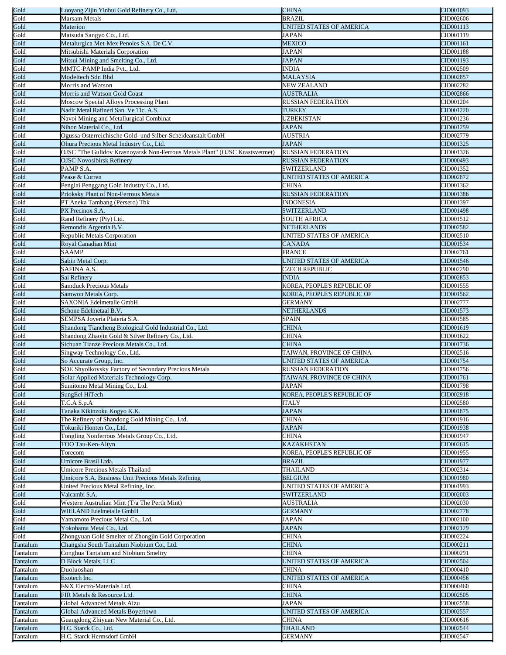| Gold<br>Gold         | Luoyang Zijin Yinhui Gold Refinery Co., Ltd.                                | <b>CHINA</b>                      | CID001093              |
|----------------------|-----------------------------------------------------------------------------|-----------------------------------|------------------------|
|                      | Marsam Metals                                                               | <b>BRAZIL</b>                     | CID002606              |
| Gold                 | Materion                                                                    | UNITED STATES OF AMERICA          | CID001113              |
| Gold                 | Matsuda Sangyo Co., Ltd.                                                    | JAPAN                             | CID001119              |
| Gold                 | Metalurgica Met-Mex Penoles S.A. De C.V.                                    | <b>MEXICO</b>                     | CID001161              |
| Gold                 | Mitsubishi Materials Corporation                                            | JAPAN                             | CID001188              |
| Gold                 | Mitsui Mining and Smelting Co., Ltd.                                        | <b>JAPAN</b>                      | CID001193              |
| Gold                 | MMTC-PAMP India Pvt., Ltd.                                                  | <b>INDIA</b>                      | CID002509              |
| Gold                 | Modeltech Sdn Bhd                                                           | <b>MALAYSIA</b>                   | CID002857              |
| Gold                 | Morris and Watson                                                           | <b>NEW ZEALAND</b>                | CID002282              |
| Gold                 |                                                                             |                                   |                        |
|                      | Morris and Watson Gold Coast                                                | <b>AUSTRALIA</b>                  | CID002866              |
| Gold<br>Gold         | Moscow Special Alloys Processing Plant                                      | <b>RUSSIAN FEDERATION</b>         | CID001204              |
|                      | Nadir Metal Rafineri San. Ve Tic. A.S.                                      | <b>TURKEY</b>                     | CID001220              |
| Gold                 | Navoi Mining and Metallurgical Combinat                                     | <b>UZBEKISTAN</b>                 | CID001236              |
| Gold<br>Gold         | Nihon Material Co., Ltd.                                                    | <b>JAPAN</b>                      | CID001259              |
|                      | Ogussa Osterreichische Gold- und Silber-Scheideanstalt GmbH                 | <b>AUSTRIA</b>                    | CID002779              |
| Gold                 | Ohura Precious Metal Industry Co., Ltd.                                     | <b>JAPAN</b>                      | CID001325              |
| Gold                 | OJSC "The Gulidov Krasnoyarsk Non-Ferrous Metals Plant" (OJSC Krastsvetmet) | <b>RUSSIAN FEDERATION</b>         | CID001326              |
| Gold                 | <b>OJSC Novosibirsk Refinery</b>                                            | <b>RUSSIAN FEDERATION</b>         | CID000493              |
| Gold                 | PAMP S.A.                                                                   | <b>SWITZERLAND</b>                | CID001352              |
| Gold                 | Pease & Curren                                                              | UNITED STATES OF AMERICA          | CID002872              |
| Gold                 | Penglai Penggang Gold Industry Co., Ltd.                                    | CHINA                             | CID001362              |
| Gold                 | Prioksky Plant of Non-Ferrous Metals                                        | <b>RUSSIAN FEDERATION</b>         | CID001386              |
| Gold                 | PT Aneka Tambang (Persero) Tbk                                              | <b>INDONESIA</b>                  | CID001397              |
| Gold                 | PX Precinox S.A.                                                            | <b>SWITZERLAND</b>                | CID001498              |
| Gold                 | Rand Refinery (Pty) Ltd.                                                    | <b>SOUTH AFRICA</b>               | CID001512              |
| Gold                 | Remondis Argentia B.V.                                                      | <b>NETHERLANDS</b>                | CID002582              |
| Gold                 | Republic Metals Corporation                                                 | UNITED STATES OF AMERICA          | CID002510              |
| Gold                 | <b>Royal Canadian Mint</b>                                                  | <b>CANADA</b>                     | CID001534              |
| Gold                 |                                                                             | <b>FRANCE</b>                     |                        |
|                      | SAAMP                                                                       |                                   | CID002761              |
| Gold                 | Sabin Metal Corp.                                                           | UNITED STATES OF AMERICA          | CID001546              |
| Gold                 | SAFINA A.S.                                                                 | <b>CZECH REPUBLIC</b>             | CID002290              |
| Gold                 | Sai Refinery                                                                | <b>INDIA</b>                      | CID002853              |
| Gold<br>Gold         | <b>Samduck Precious Metals</b>                                              | KOREA, PEOPLE'S REPUBLIC OF       | CID001555              |
|                      | Samwon Metals Corp.                                                         | KOREA, PEOPLE'S REPUBLIC OF       | CID001562              |
| Gold                 | SAXONIA Edelmetalle GmbH                                                    | <b>GERMANY</b>                    | CID002777              |
| Gold                 | Schone Edelmetaal B.V.                                                      | <b>NETHERLANDS</b>                | CID001573              |
| Gold                 | SEMPSA Joyeria Plateria S.A.                                                | <b>SPAIN</b>                      | CID001585              |
| Gold                 | Shandong Tiancheng Biological Gold Industrial Co., Ltd.                     | <b>CHINA</b>                      | CID001619              |
| Gold                 | Shandong Zhaojin Gold & Silver Refinery Co., Ltd.                           | <b>CHINA</b>                      | CID001622              |
| Gold                 | Sichuan Tianze Precious Metals Co., Ltd.                                    | <b>CHINA</b>                      | CID001736              |
| Gold                 | Singway Technology Co., Ltd.                                                | TAIWAN, PROVINCE OF CHINA         | CID002516              |
| Gold                 | So Accurate Group, Inc.                                                     | UNITED STATES OF AMERICA          | CID001754              |
| Gold                 | SOE Shyolkovsky Factory of Secondary Precious Metals                        | <b>RUSSIAN FEDERATION</b>         | CID001756              |
| Gold<br>Gold         | Solar Applied Materials Technology Corp.                                    | TAIWAN, PROVINCE OF CHINA         | CID001761              |
|                      | Sumitomo Metal Mining Co., Ltd.                                             | JAPAN                             | CID001798              |
| Gold                 | SungEel HiTech                                                              | KOREA, PEOPLE'S REPUBLIC OF       | CID002918              |
|                      |                                                                             |                                   |                        |
|                      |                                                                             | <b>ITALY</b>                      | CID002580              |
| Gold                 | T.C.A S.p.A                                                                 | <b>JAPAN</b>                      | CID001875              |
| Gold                 | Tanaka Kikinzoku Kogyo K.K.                                                 |                                   |                        |
| Gold                 | The Refinery of Shandong Gold Mining Co., Ltd.<br>Tokuriki Honten Co., Ltd. | <b>CHINA</b><br><b>JAPAN</b>      | CID001916<br>CID001938 |
| Gold                 |                                                                             | <b>CHINA</b>                      | CID001947              |
| Gold                 | Tongling Nonferrous Metals Group Co., Ltd.                                  |                                   |                        |
| Gold                 | TOO Tau-Ken-Altyn                                                           | <b>KAZAKHSTAN</b>                 | CID002615              |
| Gold                 | Torecom                                                                     | KOREA, PEOPLE'S REPUBLIC OF       | CID001955              |
| Gold                 | Umicore Brasil Ltda.                                                        | <b>BRAZIL</b>                     | CID001977              |
| Gold                 | Umicore Precious Metals Thailand                                            | THAILAND                          | CID002314              |
| Gold                 | Umicore S.A. Business Unit Precious Metals Refining                         | <b>BELGIUM</b>                    | CID001980              |
| Gold                 | United Precious Metal Refining, Inc.                                        | UNITED STATES OF AMERICA          | CID001993              |
| Gold                 | Valcambi S.A.                                                               | <b>SWITZERLAND</b>                | CID002003              |
| Gold                 | Western Australian Mint (T/a The Perth Mint)                                | AUSTRALIA                         | CID002030              |
| Gold                 | <b>WIELAND Edelmetalle GmbH</b>                                             | <b>GERMANY</b>                    | CID002778              |
| Gold                 | Yamamoto Precious Metal Co., Ltd.                                           | JAPAN                             | CID002100              |
| Gold                 | Yokohama Metal Co., Ltd.                                                    | <b>JAPAN</b>                      | CID002129              |
| Gold                 | Zhongyuan Gold Smelter of Zhongjin Gold Corporation                         | <b>CHINA</b>                      | CID002224              |
| Tantalum             | Changsha South Tantalum Niobium Co., Ltd.                                   | <b>CHINA</b>                      | CID000211              |
| Tantalum             | Conghua Tantalum and Niobium Smeltry                                        | CHINA                             | CID000291              |
| Tantalum             | <b>D Block Metals, LLC</b>                                                  | UNITED STATES OF AMERICA          | CID002504              |
| Tantalum             | Duoluoshan                                                                  | CHINA                             | CID000410              |
| Tantalum             | Exotech Inc.                                                                | UNITED STATES OF AMERICA          | CID000456              |
| Tantalum             | F&X Electro-Materials Ltd.                                                  | CHINA                             | CID000460              |
| Tantalum             | FIR Metals & Resource Ltd.                                                  | <b>CHINA</b>                      | CID002505              |
| Tantalum             | Global Advanced Metals Aizu                                                 | <b>JAPAN</b>                      | CID002558              |
| Tantalum             | <b>Global Advanced Metals Boyertown</b>                                     | UNITED STATES OF AMERICA          | CID002557              |
| Tantalum             | Guangdong Zhiyuan New Material Co., Ltd.                                    | <b>CHINA</b>                      | CID000616              |
| Tantalum<br>Tantalum | H.C. Starck Co., Ltd.                                                       | <b>THAILAND</b><br><b>GERMANY</b> | CID002544<br>CID002547 |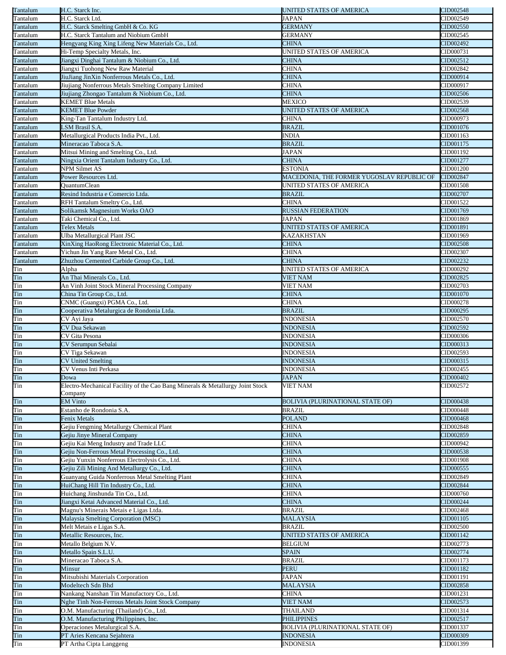| Tantalum   | H.C. Starck Inc.                                                              | UNITED STATES OF AMERICA                   | CID002548 |
|------------|-------------------------------------------------------------------------------|--------------------------------------------|-----------|
| Tantalum   | H.C. Starck Ltd.                                                              | JAPAN                                      | CID002549 |
| Tantalum   | H.C. Starck Smelting GmbH & Co. KG                                            | <b>GERMANY</b>                             | CID002550 |
| Tantalum   | H.C. Starck Tantalum and Niobium GmbH                                         | <b>GERMANY</b>                             | CID002545 |
| Tantalum   | Hengyang King Xing Lifeng New Materials Co., Ltd.                             | <b>CHINA</b>                               | CID002492 |
| Tantalum   | Hi-Temp Specialty Metals, Inc.                                                | UNITED STATES OF AMERICA                   | CID000731 |
| Tantalum   | Jiangxi Dinghai Tantalum & Niobium Co., Ltd.                                  | <b>CHINA</b>                               | CID002512 |
| Tantalum   | Jiangxi Tuohong New Raw Material                                              | CHINA                                      | CID002842 |
|            |                                                                               |                                            |           |
| Tantalum   | JiuJiang JinXin Nonferrous Metals Co., Ltd.                                   | <b>CHINA</b>                               | CID000914 |
| Tantalum   | Jiujiang Nonferrous Metals Smelting Company Limited                           | <b>CHINA</b>                               | CID000917 |
| Tantalum   | Jiujiang Zhongao Tantalum & Niobium Co., Ltd.                                 | <b>CHINA</b>                               | CID002506 |
| Tantalum   | <b>KEMET Blue Metals</b>                                                      | MEXICO                                     | CID002539 |
| Tantalum   | <b>KEMET Blue Powder</b>                                                      | UNITED STATES OF AMERICA                   | CID002568 |
| Tantalum   | King-Tan Tantalum Industry Ltd.                                               | <b>CHINA</b>                               | CID000973 |
| Tantalum   | <b>SM Brasil S.A.</b>                                                         | <b>BRAZIL</b>                              | CID001076 |
| Tantalum   | Metallurgical Products India Pvt., Ltd.                                       | <b>INDIA</b>                               | CID001163 |
|            |                                                                               |                                            |           |
| Tantalum   | Mineracao Taboca S.A.                                                         | <b>BRAZIL</b>                              | CID001175 |
| Tantalum   | Mitsui Mining and Smelting Co., Ltd.                                          | <b>JAPAN</b>                               | CID001192 |
| Tantalum   | Ningxia Orient Tantalum Industry Co., Ltd.                                    | <b>CHINA</b>                               | CID001277 |
| Tantalum   | <b>NPM Silmet AS</b>                                                          | <b>ESTONIA</b>                             | CID001200 |
| Tantalum   | Power Resources Ltd.                                                          | MACEDONIA, THE FORMER YUGOSLAV REPUBLIC OF | CID002847 |
| Tantalum   | <b>OuantumClean</b>                                                           | UNITED STATES OF AMERICA                   | CID001508 |
| Tantalum   | Resind Industria e Comercio Ltda.                                             | <b>BRAZIL</b>                              | CID002707 |
| Tantalum   | RFH Tantalum Smeltry Co., Ltd.                                                | CHINA                                      | CID001522 |
| Tantalum   | Solikamsk Magnesium Works OAO                                                 | <b>RUSSIAN FEDERATION</b>                  | CID001769 |
|            | Taki Chemical Co., Ltd.                                                       | <b>JAPAN</b>                               |           |
| Tantalum   |                                                                               |                                            | CID001869 |
| Tantalum   | <b>Telex Metals</b>                                                           | UNITED STATES OF AMERICA                   | CID001891 |
| Tantalum   | Ulba Metallurgical Plant JSC                                                  | KAZAKHSTAN                                 | CID001969 |
| Tantalum   | XinXing HaoRong Electronic Material Co., Ltd.                                 | <b>CHINA</b>                               | CID002508 |
| Tantalum   | Yichun Jin Yang Rare Metal Co., Ltd.                                          | CHINA                                      | CID002307 |
| Tantalum   | Zhuzhou Cemented Carbide Group Co., Ltd.                                      | CHINA                                      | CID002232 |
| Tin        | Alpha                                                                         | UNITED STATES OF AMERICA                   | CID000292 |
| Tin        | An Thai Minerals Co., Ltd.                                                    | <b>VIET NAM</b>                            | CID002825 |
| Tin        | An Vinh Joint Stock Mineral Processing Company                                | <b>VIET NAM</b>                            | CID002703 |
| Tin        |                                                                               |                                            |           |
|            | China Tin Group Co., Ltd.                                                     | <b>CHINA</b>                               | CID001070 |
| Tin        | CNMC (Guangxi) PGMA Co., Ltd.                                                 | <b>CHINA</b>                               | CID000278 |
| Tin        | Cooperativa Metalurgica de Rondonia Ltda.                                     | <b>BRAZIL</b>                              | CID000295 |
| Tin        | CV Ayi Jaya                                                                   | <b>INDONESIA</b>                           | CID002570 |
| Tin        | CV Dua Sekawan                                                                | <b>INDONESIA</b>                           | CID002592 |
| Tin        | CV Gita Pesona                                                                | <b>INDONESIA</b>                           | CID000306 |
| Tin        | CV Serumpun Sebalai                                                           | <b>INDONESIA</b>                           | CID000313 |
| Tin        | CV Tiga Sekawan                                                               | <b>INDONESIA</b>                           | CID002593 |
| Tin        | <b>CV United Smelting</b>                                                     | <b>INDONESIA</b>                           | CID000315 |
| Tin        |                                                                               |                                            |           |
|            | CV Venus Inti Perkasa                                                         | <b>INDONESIA</b>                           | CID002455 |
| Tin<br>Tin | Dowa                                                                          | <b>JAPAN</b>                               | CID000402 |
|            | Electro-Mechanical Facility of the Cao Bang Minerals & Metallurgy Joint Stock | <b>VIET NAM</b>                            | CID002572 |
|            | Company                                                                       |                                            |           |
| Tin        | <b>EM Vinto</b>                                                               | BOLIVIA (PLURINATIONAL STATE OF)           | CID000438 |
| Tin        | Estanho de Rondonia S.A.                                                      | <b>BRAZIL</b>                              | CID000448 |
| Tin        | Fenix Metals                                                                  | <b>POLAND</b>                              | CID000468 |
| Tin        | Gejiu Fengming Metallurgy Chemical Plant                                      | <b>CHINA</b>                               | CID002848 |
| Tin        | Gejiu Jinye Mineral Company                                                   | <b>CHINA</b>                               | CID002859 |
| Tin        |                                                                               |                                            |           |
|            |                                                                               |                                            |           |
|            | Gejiu Kai Meng Industry and Trade LLC                                         | <b>CHINA</b>                               | CID000942 |
| Tin        | Gejiu Non-Ferrous Metal Processing Co., Ltd.                                  | <b>CHINA</b>                               | CID000538 |
| Tin        | Gejiu Yunxin Nonferrous Electrolysis Co., Ltd.                                | CHINA                                      | CID001908 |
| Tin        | Gejiu Zili Mining And Metallurgy Co., Ltd.                                    | <b>CHINA</b>                               | CID000555 |
| Tin        | Guanyang Guida Nonferrous Metal Smelting Plant                                | <b>CHINA</b>                               | CID002849 |
| Tin        | HuiChang Hill Tin Industry Co., Ltd.                                          | <b>CHINA</b>                               | CID002844 |
| Tin        | Huichang Jinshunda Tin Co., Ltd.                                              | <b>CHINA</b>                               | CID000760 |
|            |                                                                               |                                            |           |
| Tin        | Jiangxi Ketai Advanced Material Co., Ltd.                                     | <b>CHINA</b>                               | CID000244 |
| Tin        | Magnu's Minerais Metais e Ligas Ltda.                                         | <b>BRAZIL</b>                              | CID002468 |
| Tin        | Malaysia Smelting Corporation (MSC)                                           | <b>MALAYSIA</b>                            | CID001105 |
| Tin        | Melt Metais e Ligas S.A.                                                      | <b>BRAZIL</b>                              | CID002500 |
| Tin        | Metallic Resources, Inc.                                                      | UNITED STATES OF AMERICA                   | CID001142 |
| Tin        | Metallo Belgium N.V.                                                          | <b>BELGIUM</b>                             | CID002773 |
| Tin        | Metallo Spain S.L.U.                                                          | <b>SPAIN</b>                               | CID002774 |
| Tin        | Mineracao Taboca S.A.                                                         | <b>BRAZIL</b>                              | CID001173 |
|            | Minsur                                                                        | <b>PERU</b>                                | CID001182 |
| Tin        |                                                                               |                                            |           |
| Tin        | Mitsubishi Materials Corporation                                              | <b>JAPAN</b>                               | CID001191 |
| Tin        | Modeltech Sdn Bhd                                                             | <b>MALAYSIA</b>                            | CID002858 |
| Tin        | Nankang Nanshan Tin Manufactory Co., Ltd.                                     | <b>CHINA</b>                               | CID001231 |
| Tin        | Nghe Tinh Non-Ferrous Metals Joint Stock Company                              | <b>VIET NAM</b>                            | CID002573 |
| Tin        | O.M. Manufacturing (Thailand) Co., Ltd.                                       | <b>THAILAND</b>                            | CID001314 |
| Tin        | O.M. Manufacturing Philippines, Inc.                                          | <b>PHILIPPINES</b>                         | CID002517 |
| Tin        | Operaciones Metalurgical S.A.                                                 | <b>BOLIVIA (PLURINATIONAL STATE OF)</b>    | CID001337 |
| Tin<br>Tin | PT Aries Kencana Sejahtera                                                    | <b>INDONESIA</b>                           | CID000309 |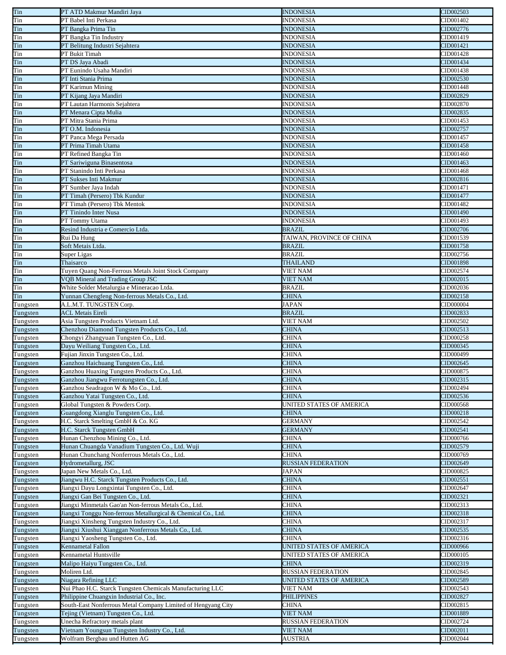| Tin                                          | PT ATD Makmur Mandiri Jaya                                                    | <b>INDONESIA</b>             | CID002503 |
|----------------------------------------------|-------------------------------------------------------------------------------|------------------------------|-----------|
| Tin                                          | PT Babel Inti Perkasa                                                         | <b>INDONESIA</b>             | CID001402 |
| Tin                                          | PT Bangka Prima Tin                                                           | INDONESIA                    | CID002776 |
| Tin                                          | PT Bangka Tin Industry                                                        | <b>INDONESIA</b>             | CID001419 |
| Tin                                          | PT Belitung Industri Sejahtera                                                | <b>INDONESIA</b>             | CID001421 |
| Tin                                          | PT Bukit Timah                                                                | <b>INDONESIA</b>             | CID001428 |
| T <sub>in</sub>                              | PT DS Jaya Abadi                                                              | <b>INDONESIA</b>             | CID001434 |
| Tin                                          | PT Eunindo Usaha Mandiri                                                      | INDONESIA                    | CID001438 |
| Tin                                          | PT Inti Stania Prima                                                          | <b>INDONESIA</b>             | CID002530 |
| Tin                                          | PT Karimun Mining                                                             | <b>INDONESIA</b>             | CID001448 |
|                                              | PT Kijang Jaya Mandiri                                                        | <b>INDONESIA</b>             | CID002829 |
| Tin                                          | PT Lautan Harmonis Sejahtera                                                  | <b>INDONESIA</b>             |           |
| Tin                                          |                                                                               |                              | CID002870 |
| Tin                                          | PT Menara Cipta Mulia                                                         | <b>INDONESIA</b>             | CID002835 |
| Tin                                          | PT Mitra Stania Prima                                                         | INDONESIA                    | CID001453 |
| Tin                                          | PT O.M. Indonesia                                                             | INDONESIA                    | CID002757 |
| Tin                                          | PT Panca Mega Persada                                                         | INDONESIA                    | CID001457 |
| Tin                                          | PT Prima Timah Utama                                                          | <b>INDONESIA</b>             | CID001458 |
| Tin                                          | PT Refined Bangka Tin                                                         | INDONESIA                    | CID001460 |
| Tin                                          | PT Sariwiguna Binasentosa                                                     | <b>INDONESIA</b>             | CID001463 |
| Tin                                          | PT Stanindo Inti Perkasa                                                      | <b>INDONESIA</b>             | CID001468 |
| Tin                                          | PT Sukses Inti Makmur                                                         | <b>INDONESIA</b>             | CID002816 |
| Tin                                          | PT Sumber Jaya Indah                                                          | INDONESIA                    | CID001471 |
| T <sub>in</sub>                              | PT Timah (Persero) Tbk Kundur                                                 | <b>INDONESIA</b>             | CID001477 |
| Tin                                          | PT Timah (Persero) Tbk Mentok                                                 | <b>INDONESIA</b>             | CID001482 |
| Tin                                          | PT Tinindo Inter Nusa                                                         | <b>INDONESIA</b>             | CID001490 |
| Tin                                          | PT Tommy Utama                                                                | <b>INDONESIA</b>             | CID001493 |
| Tin                                          | Resind Industria e Comercio Ltda.                                             | <b>BRAZIL</b>                | CID002706 |
| Tin                                          | Rui Da Hung                                                                   | TAIWAN, PROVINCE OF CHINA    | CID001539 |
| Tin                                          | Soft Metais Ltda.                                                             | <b>BRAZIL</b>                | CID001758 |
| Tin                                          | Super Ligas                                                                   | BRAZIL                       | CID002756 |
| Tin                                          | Thaisarco                                                                     | <b>THAILAND</b>              | CID001898 |
| Tin                                          | Tuyen Quang Non-Ferrous Metals Joint Stock Company                            | <b>VIET NAM</b>              | CID002574 |
| Tin                                          | VQB Mineral and Trading Group JSC                                             | <b>VIET NAM</b>              | CID002015 |
| Tin                                          | White Solder Metalurgia e Mineracao Ltda.                                     | BRAZIL                       | CID002036 |
| Tin                                          | Yunnan Chengfeng Non-ferrous Metals Co., Ltd.                                 | <b>CHINA</b>                 | CID002158 |
| Tungsten                                     | A.L.M.T. TUNGSTEN Corp.                                                       | <b>JAPAN</b>                 | CID000004 |
| Tungsten                                     | <b>ACL Metais Eireli</b>                                                      | <b>BRAZIL</b>                | CID002833 |
|                                              |                                                                               |                              |           |
| Tungsten                                     | Asia Tungsten Products Vietnam Ltd.                                           | VIET NAM                     | CID002502 |
| Tungsten                                     | Chenzhou Diamond Tungsten Products Co., Ltd.                                  | <b>CHINA</b>                 | CID002513 |
| Tungsten                                     | Chongyi Zhangyuan Tungsten Co., Ltd.                                          | <b>CHINA</b>                 | CID000258 |
| Tungsten                                     | Dayu Weiliang Tungsten Co., Ltd.                                              | <b>CHINA</b>                 | CID000345 |
| Tungsten                                     | Fujian Jinxin Tungsten Co., Ltd.                                              | <b>CHINA</b>                 | CID000499 |
| Tungsten                                     | Ganzhou Haichuang Tungsten Co., Ltd.                                          | <b>CHINA</b>                 | CID002645 |
| Tungsten                                     | Ganzhou Huaxing Tungsten Products Co., Ltd.                                   | CHINA                        | CID000875 |
| Tungsten                                     |                                                                               |                              | CID002315 |
| Tungsten                                     | Ganzhou Jiangwu Ferrotungsten Co., Ltd.<br>Ganzhou Seadragon W & Mo Co., Ltd. | <b>CHINA</b><br><b>CHINA</b> | CID002494 |
| Tungsten                                     | Ganzhou Yatai Tungsten Co., Ltd.                                              | <b>CHINA</b>                 | CID002536 |
| Tungsten                                     | Global Tungsten & Powders Corp.                                               | UNITED STATES OF AMERICA     | CID000568 |
| Tungsten                                     | Guangdong Xianglu Tungsten Co., Ltd.                                          | <b>CHINA</b>                 | CID000218 |
| Tungsten                                     | H.C. Starck Smelting GmbH & Co. KG                                            | <b>GERMANY</b>               | CID002542 |
|                                              | H.C. Starck Tungsten GmbH                                                     | <b>GERMANY</b>               | CID002541 |
| Tungsten<br>Tungsten                         | Hunan Chenzhou Mining Co., Ltd.                                               | CHINA                        | CID000766 |
| Tungsten                                     | Hunan Chuangda Vanadium Tungsten Co., Ltd. Wuji                               | <b>CHINA</b>                 | CID002579 |
| Tungsten                                     | Hunan Chunchang Nonferrous Metals Co., Ltd.                                   | <b>CHINA</b>                 | CID000769 |
| Tungsten                                     | Hydrometallurg, JSC                                                           | <b>RUSSIAN FEDERATION</b>    | CID002649 |
|                                              | Japan New Metals Co., Ltd.                                                    | JAPAN                        | CID000825 |
| Tungsten                                     | Jiangwu H.C. Starck Tungsten Products Co., Ltd.                               | <b>CHINA</b>                 | CID002551 |
| Tungsten                                     | Jiangxi Dayu Longxintai Tungsten Co., Ltd.                                    | <b>CHINA</b>                 | CID002647 |
|                                              | Jiangxi Gan Bei Tungsten Co., Ltd.                                            | <b>CHINA</b>                 | CID002321 |
|                                              | Jiangxi Minmetals Gao'an Non-ferrous Metals Co., Ltd.                         | CHINA                        | CID002313 |
| Tungsten<br>Tungsten<br>Tungsten<br>Tungsten | Jiangxi Tonggu Non-ferrous Metallurgical & Chemical Co., Ltd.                 | <b>CHINA</b>                 | CID002318 |
| Tungsten                                     | Jiangxi Xinsheng Tungsten Industry Co., Ltd.                                  | <b>CHINA</b>                 | CID002317 |
| Tungsten                                     | Jiangxi Xiushui Xianggan Nonferrous Metals Co., Ltd.                          | <b>CHINA</b>                 | CID002535 |
| Tungsten                                     | Jiangxi Yaosheng Tungsten Co., Ltd.                                           | <b>CHINA</b>                 | CID002316 |
| Tungsten                                     | Kennametal Fallon                                                             | UNITED STATES OF AMERICA     | CID000966 |
|                                              | Kennametal Huntsville                                                         | UNITED STATES OF AMERICA     | CID000105 |
|                                              | Malipo Haiyu Tungsten Co., Ltd.                                               | <b>CHINA</b>                 | CID002319 |
| Tungsten<br>Tungsten<br>Tungsten             | Moliren Ltd.                                                                  | <b>RUSSIAN FEDERATION</b>    | CID002845 |
| Tungsten                                     | Niagara Refining LLC                                                          | UNITED STATES OF AMERICA     | CID002589 |
| Tungsten                                     | Nui Phao H.C. Starck Tungsten Chemicals Manufacturing LLC                     | VIET NAM                     | CID002543 |
| Tungsten                                     | Philippine Chuangxin Industrial Co., Inc.                                     | <b>PHILIPPINES</b>           | CID002827 |
| Tungsten                                     | South-East Nonferrous Metal Company Limited of Hengyang City                  | CHINA                        | CID002815 |
| Tungsten                                     | Tejing (Vietnam) Tungsten Co., Ltd.                                           | <b>VIET NAM</b>              | CID001889 |
| Tungsten                                     | Unecha Refractory metals plant                                                | <b>RUSSIAN FEDERATION</b>    | CID002724 |
| Tungsten                                     | Vietnam Youngsun Tungsten Industry Co., Ltd.                                  | <b>VIET NAM</b>              | CID002011 |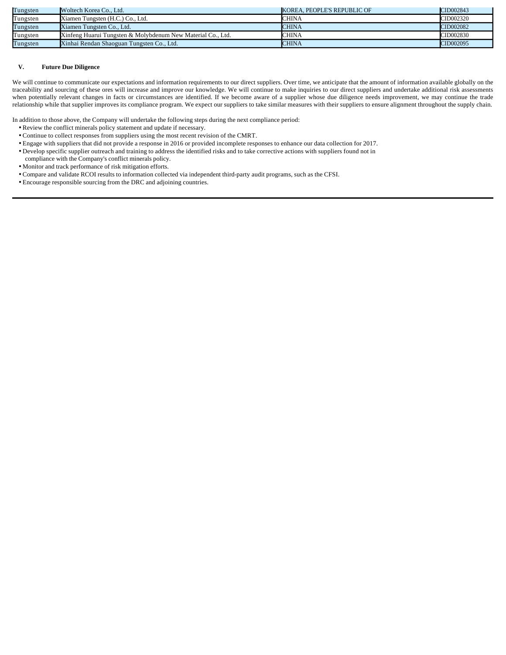| Tungsten | Woltech Korea Co., Ltd.                                     | KOREA. PEOPLE'S REPUBLIC OF | CID002843 |
|----------|-------------------------------------------------------------|-----------------------------|-----------|
| Tungsten | Xiamen Tungsten (H.C.) Co., Ltd.                            | <b>CHINA</b>                | CID002320 |
| Tungsten | Xiamen Tungsten Co., Ltd.                                   | <b>CHINA</b>                | CID002082 |
| Tungsten | Xinfeng Huarui Tungsten & Molybdenum New Material Co., Ltd. | <b>CHINA</b>                | CID002830 |
| Tungsten | Xinhai Rendan Shaoguan Tungsten Co., Ltd.                   | <b>CHINA</b>                | CID002095 |

#### **V. Future Due Diligence**

We will continue to communicate our expectations and information requirements to our direct suppliers. Over time, we anticipate that the amount of information available globally on the traceability and sourcing of these ores will increase and improve our knowledge. We will continue to make inquiries to our direct suppliers and undertake additional risk assessments when potentially relevant changes in facts or circumstances are identified. If we become aware of a supplier whose due diligence needs improvement, we may continue the trade relationship while that supplier improves its compliance program. We expect our suppliers to take similar measures with their suppliers to ensure alignment throughout the supply chain.

In addition to those above, the Company will undertake the following steps during the next compliance period:

Review the conflict minerals policy statement and update if necessary.

Continue to collect responses from suppliers using the most recent revision of the CMRT.

ö=Engage with suppliers that did not provide a response in 2016 or provided incomplete responses to enhance our data collection for 2017.

Develop specific supplier outreach and training to address the identified risks and to take corrective actions with suppliers found not in

compliance with the Company's conflict minerals policy.

Monitor and track performance of risk mitigation efforts.

Compare and validate RCOI results to information collected via independent third-party audit programs, such as the CFSI.

Encourage responsible sourcing from the DRC and adjoining countries.